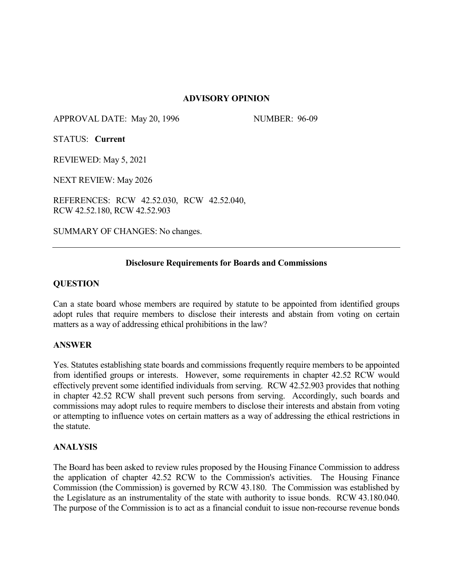# **ADVISORY OPINION**

APPROVAL DATE: May 20, 1996 NUMBER: 96-09

STATUS: **Current**

REVIEWED: May 5, 2021

NEXT REVIEW: May 2026

REFERENCES: RCW 42.52.030, RCW 42.52.040, RCW 42.52.180, RCW 42.52.903

SUMMARY OF CHANGES: No changes.

# **Disclosure Requirements for Boards and Commissions**

# **QUESTION**

Can a state board whose members are required by statute to be appointed from identified groups adopt rules that require members to disclose their interests and abstain from voting on certain matters as a way of addressing ethical prohibitions in the law?

### **ANSWER**

Yes. Statutes establishing state boards and commissions frequently require members to be appointed from identified groups or interests. However, some requirements in chapter 42.52 RCW would effectively prevent some identified individuals from serving. RCW 42.52.903 provides that nothing in chapter 42.52 RCW shall prevent such persons from serving. Accordingly, such boards and commissions may adopt rules to require members to disclose their interests and abstain from voting or attempting to influence votes on certain matters as a way of addressing the ethical restrictions in the statute.

### **ANALYSIS**

The Board has been asked to review rules proposed by the Housing Finance Commission to address the application of chapter 42.52 RCW to the Commission's activities. The Housing Finance Commission (the Commission) is governed by RCW 43.180. The Commission was established by the Legislature as an instrumentality of the state with authority to issue bonds. RCW 43.180.040. The purpose of the Commission is to act as a financial conduit to issue non-recourse revenue bonds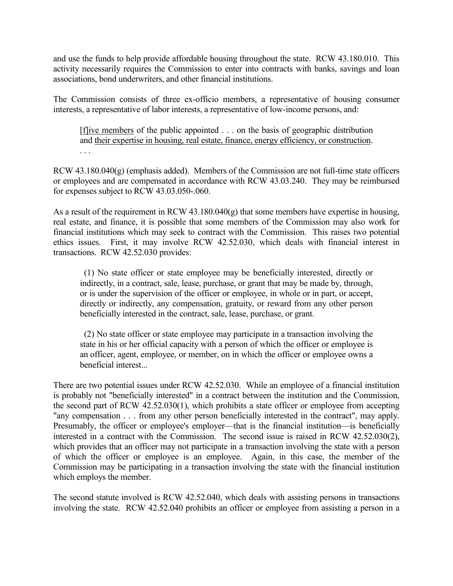and use the funds to help provide affordable housing throughout the state. RCW 43.180.010. This activity necessarily requires the Commission to enter into contracts with banks, savings and loan associations, bond underwriters, and other financial institutions.

The Commission consists of three ex-officio members, a representative of housing consumer interests, a representative of labor interests, a representative of low-income persons, and:

 [f]ive members of the public appointed . . . on the basis of geographic distribution and their expertise in housing, real estate, finance, energy efficiency, or construction. . . .

RCW 43.180.040(g) (emphasis added). Members of the Commission are not full-time state officers or employees and are compensated in accordance with RCW 43.03.240. They may be reimbursed for expenses subject to RCW 43.03.050-.060.

As a result of the requirement in RCW 43.180.040(g) that some members have expertise in housing, real estate, and finance, it is possible that some members of the Commission may also work for financial institutions which may seek to contract with the Commission. This raises two potential ethics issues. First, it may involve RCW 42.52.030, which deals with financial interest in transactions. RCW 42.52.030 provides:

 (1) No state officer or state employee may be beneficially interested, directly or indirectly, in a contract, sale, lease, purchase, or grant that may be made by, through, or is under the supervision of the officer or employee, in whole or in part, or accept, directly or indirectly, any compensation, gratuity, or reward from any other person beneficially interested in the contract, sale, lease, purchase, or grant.

 (2) No state officer or state employee may participate in a transaction involving the state in his or her official capacity with a person of which the officer or employee is an officer, agent, employee, or member, on in which the officer or employee owns a beneficial interest...

There are two potential issues under RCW 42.52.030. While an employee of a financial institution is probably not "beneficially interested" in a contract between the institution and the Commission, the second part of RCW 42.52.030(1), which prohibits a state officer or employee from accepting "any compensation . . . from any other person beneficially interested in the contract", may apply. Presumably, the officer or employee's employer—that is the financial institution—is beneficially interested in a contract with the Commission. The second issue is raised in RCW 42.52.030(2), which provides that an officer may not participate in a transaction involving the state with a person of which the officer or employee is an employee. Again, in this case, the member of the Commission may be participating in a transaction involving the state with the financial institution which employs the member.

The second statute involved is RCW 42.52.040, which deals with assisting persons in transactions involving the state. RCW 42.52.040 prohibits an officer or employee from assisting a person in a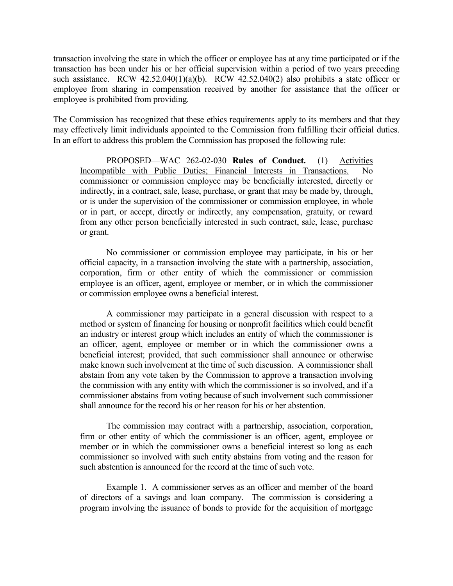transaction involving the state in which the officer or employee has at any time participated or if the transaction has been under his or her official supervision within a period of two years preceding such assistance. RCW  $42.52.040(1)(a)(b)$ . RCW  $42.52.040(2)$  also prohibits a state officer or employee from sharing in compensation received by another for assistance that the officer or employee is prohibited from providing.

The Commission has recognized that these ethics requirements apply to its members and that they may effectively limit individuals appointed to the Commission from fulfilling their official duties. In an effort to address this problem the Commission has proposed the following rule:

PROPOSED—WAC 262-02-030 **Rules of Conduct.** (1) Activities Incompatible with Public Duties; Financial Interests in Transactions. No commissioner or commission employee may be beneficially interested, directly or indirectly, in a contract, sale, lease, purchase, or grant that may be made by, through, or is under the supervision of the commissioner or commission employee, in whole or in part, or accept, directly or indirectly, any compensation, gratuity, or reward from any other person beneficially interested in such contract, sale, lease, purchase or grant.

No commissioner or commission employee may participate, in his or her official capacity, in a transaction involving the state with a partnership, association, corporation, firm or other entity of which the commissioner or commission employee is an officer, agent, employee or member, or in which the commissioner or commission employee owns a beneficial interest.

A commissioner may participate in a general discussion with respect to a method or system of financing for housing or nonprofit facilities which could benefit an industry or interest group which includes an entity of which the commissioner is an officer, agent, employee or member or in which the commissioner owns a beneficial interest; provided, that such commissioner shall announce or otherwise make known such involvement at the time of such discussion. A commissioner shall abstain from any vote taken by the Commission to approve a transaction involving the commission with any entity with which the commissioner is so involved, and if a commissioner abstains from voting because of such involvement such commissioner shall announce for the record his or her reason for his or her abstention.

The commission may contract with a partnership, association, corporation, firm or other entity of which the commissioner is an officer, agent, employee or member or in which the commissioner owns a beneficial interest so long as each commissioner so involved with such entity abstains from voting and the reason for such abstention is announced for the record at the time of such vote.

Example 1. A commissioner serves as an officer and member of the board of directors of a savings and loan company. The commission is considering a program involving the issuance of bonds to provide for the acquisition of mortgage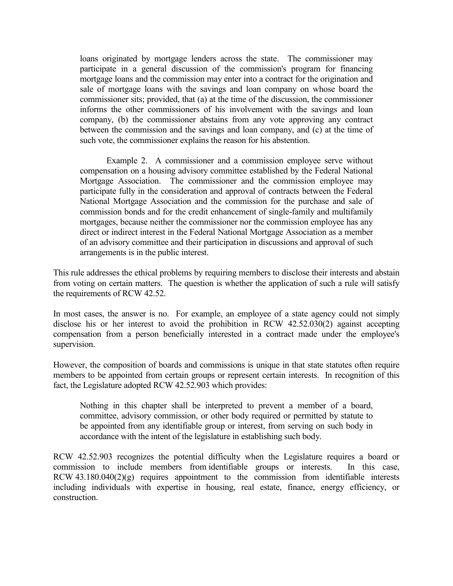loans originated by mortgage lenders across the state. The commissioner may participate in a general discussion of the commission's program for financing mortgage loans and the commission may enter into a contract for the origination and sale of mortgage loans with the savings and loan company on whose board the commissioner sits; provided, that (a) at the time of the discussion, the commissioner informs the other commissioners of his involvement with the savings and loan company, (b) the commissioner abstains from any vote approving any contract between the commission and the savings and loan company, and (c) at the time of such vote, the commissioner explains the reason for his abstention.

Example 2. A commissioner and a commission employee serve without compensation on a housing advisory committee established by the Federal National Mortgage Association. The commissioner and the commission employee may participate fully in the consideration and approval of contracts between the Federal National Mortgage Association and the commission for the purchase and sale of commission bonds and for the credit enhancement of single-family and multifamily mortgages, because neither the commissioner nor the commission employee has any direct or indirect interest in the Federal National Mortgage Association as a member of an advisory committee and their participation in discussions and approval of such arrangements is in the public interest.

This rule addresses the ethical problems by requiring members to disclose their interests and abstain from voting on certain matters. The question is whether the application of such a rule will satisfy the requirements of RCW 42.52.

In most cases, the answer is no. For example, an employee of a state agency could not simply disclose his or her interest to avoid the prohibition in RCW 42.52.030(2) against accepting compensation from a person beneficially interested in a contract made under the employee's supervision.

However, the composition of boards and commissions is unique in that state statutes often require members to be appointed from certain groups or represent certain interests. In recognition of this fact, the Legislature adopted RCW 42.52.903 which provides:

Nothing in this chapter shall be interpreted to prevent a member of a board, committee, advisory commission, or other body required or permitted by statute to be appointed from any identifiable group or interest, from serving on such body in accordance with the intent of the legislature in establishing such body.

RCW 42.52.903 recognizes the potential difficulty when the Legislature requires a board or commission to include members from identifiable groups or interests. In this case, RCW  $43.180.040(2)(g)$  requires appointment to the commission from identifiable interests including individuals with expertise in housing, real estate, finance, energy efficiency, or construction.